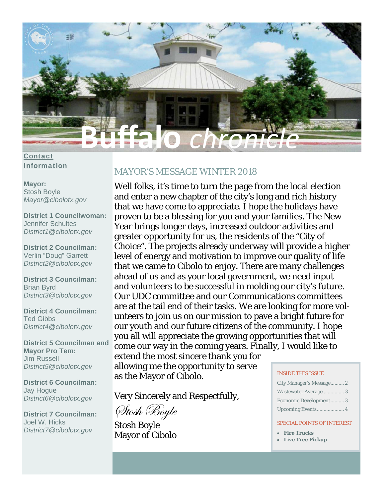

**Contact Information** 

### **Mavor: Stosh Boyle** Mayor@cibolotx.gov

**District 1 Councilwoman: Jennifer Schultes** District1@cibolotx.gov

**District 2 Councilman:** Verlin "Doug" Garrett District2 @cibolotx.gov

**District 3 Councilman: Brian Byrd** District3@cibolotx.gov

**District 4 Councilman: Ted Gibbs** District4@cibolotx.gov

**District 5 Councilman and Mavor Pro Tem: Jim Russell** District5@cibolotx.gov

**District 6 Councilman:** Jay Hogue District6@cibolotx.gov

**District 7 Councilman:** Joel W. Hicks District7@cibolotx.gov

# **MAYOR'S MESSAGE WINTER 2018**

Well folks, it's time to turn the page from the local election and enter a new chapter of the city's long and rich history that we have come to appreciate. I hope the holidays have proven to be a blessing for you and your families. The New Year brings longer days, increased outdoor activities and greater opportunity for us, the residents of the "City of Choice". The projects already underway will provide a higher level of energy and motivation to improve our quality of life that we came to Cibolo to enjoy. There are many challenges ahead of us and as your local government, we need input and volunteers to be successful in molding our city's future. Our UDC committee and our Communications committees are at the tail end of their tasks. We are looking for more volunteers to join us on our mission to pave a bright future for our youth and our future citizens of the community. I hope you all will appreciate the growing opportunities that will come our way in the coming years. Finally, I would like to extend the most sincere thank you for

allowing me the opportunity to serve as the Mayor of Cibolo.

Very Sincerely and Respectfully,

Stosh Boyle

**Stosh Boyle Mayor of Cibolo** 

#### **INSIDE THIS ISSUE**

| City Manager's Message 2 |
|--------------------------|
| Wastewater Average  3    |
| Economic Development 3   |
|                          |

#### **SPECIAL POINTS OF INTEREST**

- Fire Trucks
- Live Tree Pickup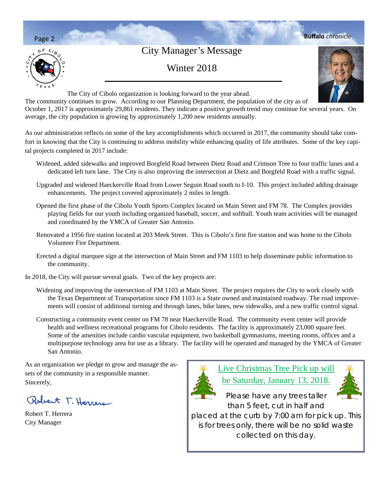

The community continues to grow. According to our Planning Department, the population of the city as of October 1, 2017 is approximately 29,861 residents. They indicate a positive growth trend may continue for several years. On average, the city population is growing by approximately 1,200 new residents annually.

As our administration reflects on some of the key accomplishments which occurred in 2017, the community should take comfort in knowing that the City is continuing to address mobility while enhancing quality of life attributes. Some of the key capital projects completed in 2017 include:

- Widened, added sidewalks and improved Borgfeld Road between Dietz Road and Crimson Tree to four traffic lanes and a dedicated left turn lane. The City is also improving the intersection at Dietz and Borgfeld Road with a traffic signal.
- Upgraded and widened Haeckerville Road from Lower Seguin Road south to I-10. This project included adding drainage enhancements. The project covered approximately 2 miles in length.
- Opened the first phase of the Cibolo Youth Sports Complex located on Main Street and FM 78. The Complex provides playing fields for our youth including organized baseball, soccer, and softball. Youth team activities will be managed and coordinated by the YMCA of Greater San Antonio.
- Renovated a 1956 fire station located at 203 Meek Street. This is Cibolo's first fire station and was home to the Cibolo Volunteer Fire Department.
- Erected a digital marquee sign at the intersection of Main Street and FM 1103 to help disseminate public information to the community.
- In 2018, the City will pursue several goals. Two of the key projects are:
	- Widening and improving the intersection of FM 1103 at Main Street. The project requires the City to work closely with the Texas Department of Transportation since FM 1103 is a State owned and maintained roadway. The road improvements will consist of additional turning and through lanes, bike lanes, new sidewalks, and a new traffic control signal.
	- Constructing a community event center on FM 78 near Haeckerville Road. The community event center will provide health and wellness recreational programs for Cibolo residents. The facility is approximately 23,000 square feet. Some of the amenities include cardio vascular equipment, two basketball gymnasiums, meeting rooms, offices and a multipurpose technology area for use as a library. The facility will be operated and managed by the YMCA of Greater San Antonio.

As an organization we pledge to grow and manage the assets of the community in a responsible manner. Sincerely,

Robert T. Herrera

Robert T. Herrera City Manager



Live Christmas Tree Pick up will be Saturday, January 13, 2018.

Please have any trees taller than 5 feet, cut in half and placed at the curb by 7:00 am for pick up. This is for trees only, there will be no solid waste collected on this day.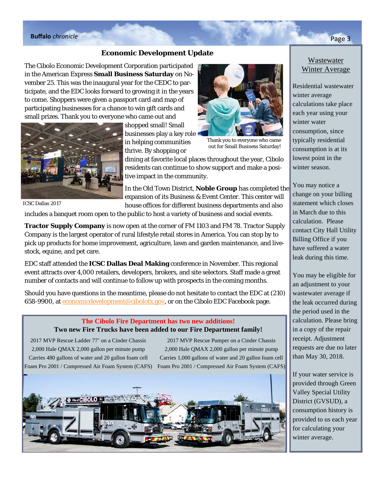# **Buffalo** *chronicle* Page 3

### **Economic Development Update**

The Cibolo Economic Development Corporation participated in the American Express **Small Business Saturday** on November 25. This was the inaugural year for the CEDC to participate, and the EDC looks forward to growing it in the years to come. Shoppers were given a passport card and map of participating businesses for a chance to win gift cards and small prizes. Thank you to everyone who came out and



ICSC Dallas 2017

shopped small! Small businesses play a key role in helping communities thrive. By shopping or



Thank you to everyone who came out for Small Business Saturday!

dining at favorite local places throughout the year, Cibolo residents can continue to show support and make a positive impact in the community.

In the Old Town District, **Noble Group** has completed the expansion of its Business & Event Center. This center will house offices for different business departments and also

includes a banquet room open to the public to host a variety of business and social events.

**Tractor Supply Company** is now open at the corner of FM 1103 and FM 78. Tractor Supply Company is the largest operator of rural lifestyle retail stores in America. You can stop by to pick up products for home improvement, agriculture, lawn and garden maintenance, and livestock, equine, and pet care.

EDC staff attended the **ICSC Dallas Deal Making** conference in November. This regional event attracts over 4,000 retailers, developers, brokers, and site selectors. Staff made a great number of contacts and will continue to follow up with prospects in the coming months.

Should you have questions in the meantime, please do not hesitate to contact the EDC at (210) 658-9900, at economicdevelopment@cibolotx.gov, or on the Cibolo EDC Facebook page.

### **The Cibolo Fire Department has two new additions! Two new Fire Trucks have been added to our Fire Department family!**

2017 MVP Rescue Ladder 77' on a Cinder Chassis 2,000 Hale QMAX 2,000 gallon per minute pump Carries 480 gallons of water and 20 gallon foam cell

Foam Pro 2001 / Compressed Air Foam System (CAFS) Foam Pro 2001 / Compressed Air Foam System (CAFS) 2017 MVP Rescue Pumper on a Cinder Chassis 2,000 Hale QMAX 2,000 gallon per minute pump Carries 1,000 gallons of water and 20 gallon foam cell



# Wastewater

Winter Average

Residential wastewater winter average calculations take place each year using your winter water consumption, since typically residential consumption is at its lowest point in the winter season.

You may notice a change on your billing statement which closes in March due to this calculation. Please contact City Hall Utility Billing Office if you have suffered a water leak during this time.

You may be eligible for an adjustment to your wastewater average if the leak occurred during the period used in the calculation. Please bring in a copy of the repair receipt. Adjustment requests are due no later than May 30, 2018.

If your water service is provided through Green Valley Special Utility District (GVSUD), a consumption history is provided to us each year for calculating your winter average.